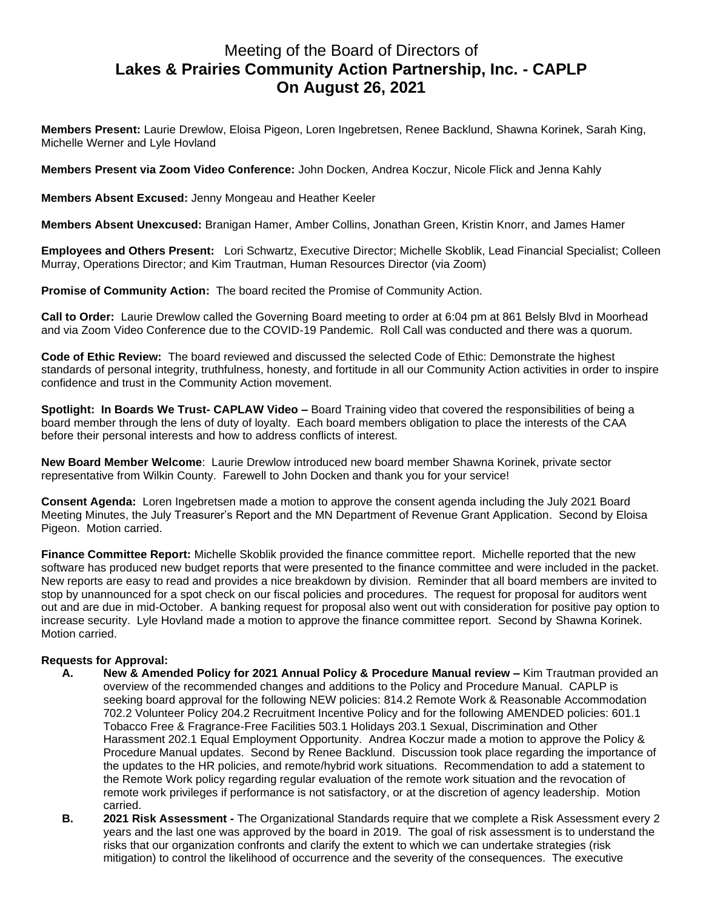## Meeting of the Board of Directors of **Lakes & Prairies Community Action Partnership, Inc. - CAPLP On August 26, 2021**

**Members Present:** Laurie Drewlow, Eloisa Pigeon, Loren Ingebretsen, Renee Backlund, Shawna Korinek, Sarah King, Michelle Werner and Lyle Hovland

**Members Present via Zoom Video Conference:** John Docken, Andrea Koczur, Nicole Flick and Jenna Kahly

**Members Absent Excused:** Jenny Mongeau and Heather Keeler

**Members Absent Unexcused:** Branigan Hamer, Amber Collins, Jonathan Green, Kristin Knorr, and James Hamer

**Employees and Others Present:** Lori Schwartz, Executive Director; Michelle Skoblik, Lead Financial Specialist; Colleen Murray, Operations Director; and Kim Trautman, Human Resources Director (via Zoom)

**Promise of Community Action:** The board recited the Promise of Community Action.

**Call to Order:** Laurie Drewlow called the Governing Board meeting to order at 6:04 pm at 861 Belsly Blvd in Moorhead and via Zoom Video Conference due to the COVID-19 Pandemic. Roll Call was conducted and there was a quorum.

**Code of Ethic Review:** The board reviewed and discussed the selected Code of Ethic: Demonstrate the highest standards of personal integrity, truthfulness, honesty, and fortitude in all our Community Action activities in order to inspire confidence and trust in the Community Action movement.

**Spotlight: In Boards We Trust- CAPLAW Video –** Board Training video that covered the responsibilities of being a board member through the lens of duty of loyalty. Each board members obligation to place the interests of the CAA before their personal interests and how to address conflicts of interest.

**New Board Member Welcome**: Laurie Drewlow introduced new board member Shawna Korinek, private sector representative from Wilkin County. Farewell to John Docken and thank you for your service!

**Consent Agenda:** Loren Ingebretsen made a motion to approve the consent agenda including the July 2021 Board Meeting Minutes, the July Treasurer's Report and the MN Department of Revenue Grant Application. Second by Eloisa Pigeon. Motion carried.

**Finance Committee Report:** Michelle Skoblik provided the finance committee report. Michelle reported that the new software has produced new budget reports that were presented to the finance committee and were included in the packet. New reports are easy to read and provides a nice breakdown by division. Reminder that all board members are invited to stop by unannounced for a spot check on our fiscal policies and procedures. The request for proposal for auditors went out and are due in mid-October. A banking request for proposal also went out with consideration for positive pay option to increase security. Lyle Hovland made a motion to approve the finance committee report. Second by Shawna Korinek. Motion carried.

## **Requests for Approval:**

- **A. New & Amended Policy for 2021 Annual Policy & Procedure Manual review –** Kim Trautman provided an overview of the recommended changes and additions to the Policy and Procedure Manual. CAPLP is seeking board approval for the following NEW policies: 814.2 Remote Work & Reasonable Accommodation 702.2 Volunteer Policy 204.2 Recruitment Incentive Policy and for the following AMENDED policies: 601.1 Tobacco Free & Fragrance-Free Facilities 503.1 Holidays 203.1 Sexual, Discrimination and Other Harassment 202.1 Equal Employment Opportunity. Andrea Koczur made a motion to approve the Policy & Procedure Manual updates. Second by Renee Backlund. Discussion took place regarding the importance of the updates to the HR policies, and remote/hybrid work situations. Recommendation to add a statement to the Remote Work policy regarding regular evaluation of the remote work situation and the revocation of remote work privileges if performance is not satisfactory, or at the discretion of agency leadership. Motion carried.
	- **B. 2021 Risk Assessment -** The Organizational Standards require that we complete a Risk Assessment every 2 years and the last one was approved by the board in 2019. The goal of risk assessment is to understand the risks that our organization confronts and clarify the extent to which we can undertake strategies (risk mitigation) to control the likelihood of occurrence and the severity of the consequences. The executive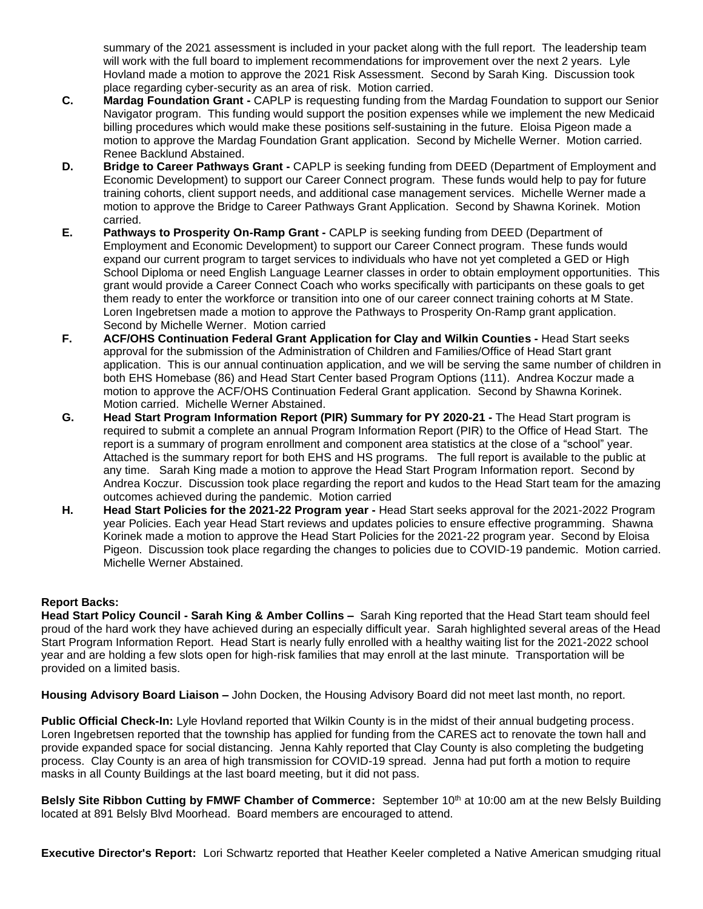summary of the 2021 assessment is included in your packet along with the full report. The leadership team will work with the full board to implement recommendations for improvement over the next 2 years. Lyle Hovland made a motion to approve the 2021 Risk Assessment. Second by Sarah King. Discussion took place regarding cyber-security as an area of risk. Motion carried.

- **C. Mardag Foundation Grant -** CAPLP is requesting funding from the Mardag Foundation to support our Senior Navigator program. This funding would support the position expenses while we implement the new Medicaid billing procedures which would make these positions self-sustaining in the future. Eloisa Pigeon made a motion to approve the Mardag Foundation Grant application. Second by Michelle Werner. Motion carried. Renee Backlund Abstained.
- **D. Bridge to Career Pathways Grant -** CAPLP is seeking funding from DEED (Department of Employment and Economic Development) to support our Career Connect program. These funds would help to pay for future training cohorts, client support needs, and additional case management services. Michelle Werner made a motion to approve the Bridge to Career Pathways Grant Application. Second by Shawna Korinek. Motion carried.
- **E. Pathways to Prosperity On-Ramp Grant -** CAPLP is seeking funding from DEED (Department of Employment and Economic Development) to support our Career Connect program. These funds would expand our current program to target services to individuals who have not yet completed a GED or High School Diploma or need English Language Learner classes in order to obtain employment opportunities. This grant would provide a Career Connect Coach who works specifically with participants on these goals to get them ready to enter the workforce or transition into one of our career connect training cohorts at M State. Loren Ingebretsen made a motion to approve the Pathways to Prosperity On-Ramp grant application. Second by Michelle Werner. Motion carried
- **F. ACF/OHS Continuation Federal Grant Application for Clay and Wilkin Counties -** Head Start seeks approval for the submission of the Administration of Children and Families/Office of Head Start grant application. This is our annual continuation application, and we will be serving the same number of children in both EHS Homebase (86) and Head Start Center based Program Options (111). Andrea Koczur made a motion to approve the ACF/OHS Continuation Federal Grant application. Second by Shawna Korinek. Motion carried. Michelle Werner Abstained.
- **G. Head Start Program Information Report (PIR) Summary for PY 2020-21 -** The Head Start program is required to submit a complete an annual Program Information Report (PIR) to the Office of Head Start. The report is a summary of program enrollment and component area statistics at the close of a "school" year. Attached is the summary report for both EHS and HS programs. The full report is available to the public at any time.Sarah King made a motion to approve the Head Start Program Information report. Second by Andrea Koczur. Discussion took place regarding the report and kudos to the Head Start team for the amazing outcomes achieved during the pandemic. Motion carried
- **H. Head Start Policies for the 2021-22 Program year -** Head Start seeks approval for the 2021-2022 Program year Policies. Each year Head Start reviews and updates policies to ensure effective programming.Shawna Korinek made a motion to approve the Head Start Policies for the 2021-22 program year. Second by Eloisa Pigeon. Discussion took place regarding the changes to policies due to COVID-19 pandemic. Motion carried. Michelle Werner Abstained.

## **Report Backs:**

**Head Start Policy Council - Sarah King & Amber Collins –** Sarah King reported that the Head Start team should feel proud of the hard work they have achieved during an especially difficult year. Sarah highlighted several areas of the Head Start Program Information Report. Head Start is nearly fully enrolled with a healthy waiting list for the 2021-2022 school year and are holding a few slots open for high-risk families that may enroll at the last minute. Transportation will be provided on a limited basis.

**Housing Advisory Board Liaison –** John Docken, the Housing Advisory Board did not meet last month, no report.

**Public Official Check-In:** Lyle Hovland reported that Wilkin County is in the midst of their annual budgeting process. Loren Ingebretsen reported that the township has applied for funding from the CARES act to renovate the town hall and provide expanded space for social distancing. Jenna Kahly reported that Clay County is also completing the budgeting process. Clay County is an area of high transmission for COVID-19 spread. Jenna had put forth a motion to require masks in all County Buildings at the last board meeting, but it did not pass.

**Belsly Site Ribbon Cutting by FMWF Chamber of Commerce:** September 10th at 10:00 am at the new Belsly Building located at 891 Belsly Blvd Moorhead. Board members are encouraged to attend.

**Executive Director's Report:** Lori Schwartz reported that Heather Keeler completed a Native American smudging ritual